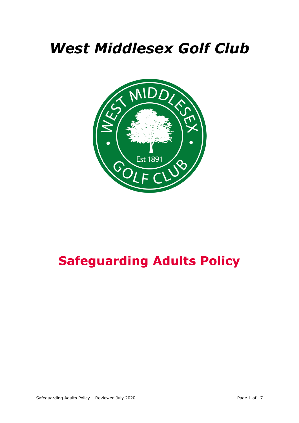# *West Middlesex Golf Club*



## **Safeguarding Adults Policy**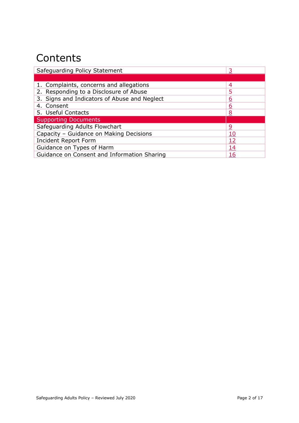## **Contents**

| Safeguarding Policy Statement                | 3          |
|----------------------------------------------|------------|
|                                              |            |
| 1. Complaints, concerns and allegations      | 4          |
| 2. Responding to a Disclosure of Abuse       | 5          |
| 3. Signs and Indicators of Abuse and Neglect | 6          |
| 4. Consent                                   | 6          |
| 5. Useful Contacts                           | 8          |
| <b>Supporting Documents</b>                  |            |
| Safeguarding Adults Flowchart                | 9          |
| Capacity - Guidance on Making Decisions      | <u> 10</u> |
| <b>Incident Report Form</b>                  | 12         |
| Guidance on Types of Harm                    | <u> 14</u> |
| Guidance on Consent and Information Sharing  | 16         |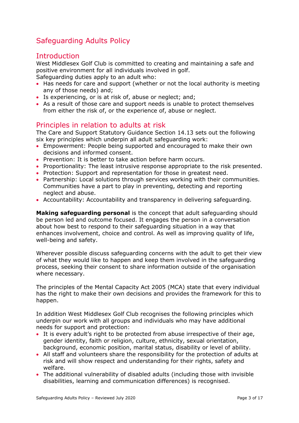## Safeguarding Adults Policy

## <span id="page-2-0"></span>**Introduction**

West Middlesex Golf Club is committed to creating and maintaining a safe and positive environment for all individuals involved in golf.

Safeguarding duties apply to an adult who:

- Has needs for care and support (whether or not the local authority is meeting any of those needs) and;
- Is experiencing, or is at risk of, abuse or neglect; and;
- As a result of those care and support needs is unable to protect themselves from either the risk of, or the experience of, abuse or neglect.

## Principles in relation to adults at risk

The Care and Support Statutory Guidance Section 14.13 sets out the following six key principles which underpin all adult safeguarding work:

- Empowerment: People being supported and encouraged to make their own decisions and informed consent.
- Prevention: It is better to take action before harm occurs.
- Proportionality: The least intrusive response appropriate to the risk presented.
- Protection: Support and representation for those in greatest need.
- Partnership: Local solutions through services working with their communities. Communities have a part to play in preventing, detecting and reporting neglect and abuse.
- Accountability: Accountability and transparency in delivering safeguarding.

**Making safeguarding personal** is the concept that adult safeguarding should be person led and outcome focused. It engages the person in a conversation about how best to respond to their safeguarding situation in a way that enhances involvement, choice and control. As well as improving quality of life, well-being and safety.

Wherever possible discuss safeguarding concerns with the adult to get their view of what they would like to happen and keep them involved in the safeguarding process, seeking their consent to share information outside of the organisation where necessary.

The principles of the Mental Capacity Act 2005 (MCA) state that every individual has the right to make their own decisions and provides the framework for this to happen.

In addition West Middlesex Golf Club recognises the following principles which underpin our work with all groups and individuals who may have additional needs for support and protection:

- It is every adult's right to be protected from abuse irrespective of their age, gender identity, faith or religion, culture, ethnicity, sexual orientation, background, economic position, marital status, disability or level of ability.
- All staff and volunteers share the responsibility for the protection of adults at risk and will show respect and understanding for their rights, safety and welfare.
- The additional vulnerability of disabled adults (including those with invisible disabilities, learning and communication differences) is recognised.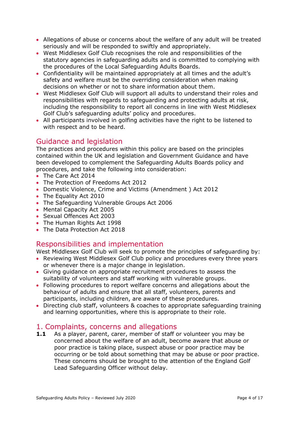- Allegations of abuse or concerns about the welfare of any adult will be treated seriously and will be responded to swiftly and appropriately.
- West Middlesex Golf Club recognises the role and responsibilities of the statutory agencies in safeguarding adults and is committed to complying with the procedures of the Local Safeguarding Adults Boards.
- Confidentiality will be maintained appropriately at all times and the adult's safety and welfare must be the overriding consideration when making decisions on whether or not to share information about them.
- West Middlesex Golf Club will support all adults to understand their roles and responsibilities with regards to safeguarding and protecting adults at risk, including the responsibility to report all concerns in line with West Middlesex Golf Club's safeguarding adults' policy and procedures.
- All participants involved in golfing activities have the right to be listened to with respect and to be heard.

## Guidance and legislation

The practices and procedures within this policy are based on the principles contained within the UK and legislation and Government Guidance and have been developed to complement the Safeguarding Adults Boards policy and procedures, and take the following into consideration:

- The Care Act 2014
- The Protection of Freedoms Act 2012
- Domestic Violence, Crime and Victims (Amendment ) Act 2012
- The Equality Act 2010
- The Safeguarding Vulnerable Groups Act 2006
- Mental Capacity Act 2005
- Sexual Offences Act 2003
- The Human Rights Act 1998
- The Data Protection Act 2018

## Responsibilities and implementation

West Middlesex Golf Club will seek to promote the principles of safeguarding by:

- Reviewing West Middlesex Golf Club policy and procedures every three years or whenever there is a major change in legislation.
- Giving guidance on appropriate recruitment procedures to assess the suitability of volunteers and staff working with vulnerable groups.
- Following procedures to report welfare concerns and allegations about the behaviour of adults and ensure that all staff, volunteers, parents and participants, including children, are aware of these procedures.
- Directing club staff, volunteers & coaches to appropriate safeguarding training and learning opportunities, where this is appropriate to their role.

## 1. Complaints, concerns and allegations

**1.1** As a player, parent, carer, member of staff or volunteer you may be concerned about the welfare of an adult, become aware that abuse or poor practice is taking place, suspect abuse or poor practice may be occurring or be told about something that may be abuse or poor practice. These concerns should be brought to the attention of the England Golf Lead Safeguarding Officer without delay.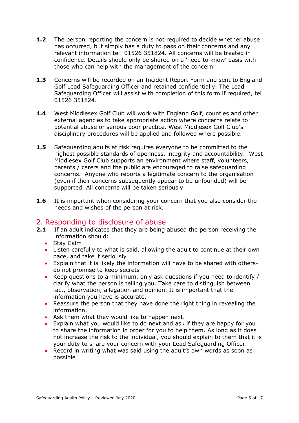- **1.2** The person reporting the concern is not required to decide whether abuse has occurred, but simply has a duty to pass on their concerns and any relevant information tel: 01526 351824. All concerns will be treated in confidence. Details should only be shared on a 'need to know' basis with those who can help with the management of the concern.
- **1.3** Concerns will be recorded on an Incident Report Form and sent to England Golf Lead Safeguarding Officer and retained confidentially. The Lead Safeguarding Officer will assist with completion of this form if required, tel 01526 351824.
- **1.4** West Middlesex Golf Club will work with England Golf, counties and other external agencies to take appropriate action where concerns relate to potential abuse or serious poor practice. West Middlesex Golf Club's disciplinary procedures will be applied and followed where possible.
- **1.5** Safeguarding adults at risk requires everyone to be committed to the highest possible standards of openness, integrity and accountability. West Middlesex Golf Club supports an environment where staff, volunteers, parents / carers and the public are encouraged to raise safeguarding concerns. Anyone who reports a legitimate concern to the organisation (even if their concerns subsequently appear to be unfounded) will be supported. All concerns will be taken seriously.
- **1.6** It is important when considering your concern that you also consider the needs and wishes of the person at risk.

## 2. Responding to disclosure of abuse

- **2.1** If an adult indicates that they are being abused the person receiving the information should:
	- Stay Calm
	- Listen carefully to what is said, allowing the adult to continue at their own pace, and take it seriously
	- Explain that it is likely the information will have to be shared with othersdo not promise to keep secrets
	- Keep questions to a minimum, only ask questions if you need to identify / clarify what the person is telling you. Take care to distinguish between fact, observation, allegation and opinion. It is important that the information you have is accurate.
	- Reassure the person that they have done the right thing in revealing the information.
	- Ask them what they would like to happen next.
	- Explain what you would like to do next and ask if they are happy for you to share the information in order for you to help them. As long as it does not increase the risk to the individual, you should explain to them that it is your duty to share your concern with your Lead Safeguarding Officer.
	- Record in writing what was said using the adult's own words as soon as possible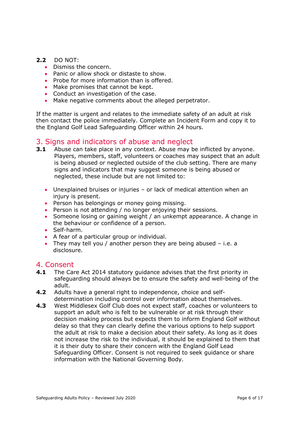- **2.2** DO NOT:
	- Dismiss the concern.
	- Panic or allow shock or distaste to show.
	- Probe for more information than is offered.
	- Make promises that cannot be kept.
	- Conduct an investigation of the case.
	- Make negative comments about the alleged perpetrator.

If the matter is urgent and relates to the immediate safety of an adult at risk then contact the police immediately. Complete an Incident Form and copy it to the England Golf Lead Safeguarding Officer within 24 hours.

## <span id="page-5-0"></span>3. Signs and indicators of abuse and neglect

- **3.1** Abuse can take place in any context. Abuse may be inflicted by anyone. Players, members, staff, volunteers or coaches may suspect that an adult is being abused or neglected outside of the club setting. There are many signs and indicators that may suggest someone is being abused or neglected, these include but are not limited to:
	- Unexplained bruises or injuries or lack of medical attention when an injury is present.
	- Person has belongings or money going missing.
	- Person is not attending / no longer enjoying their sessions.
	- Someone losing or gaining weight / an unkempt appearance. A change in the behaviour or confidence of a person.
	- Self-harm.
	- A fear of a particular group or individual.
	- They may tell you / another person they are being abused i.e. a disclosure.

#### <span id="page-5-1"></span>4. Consent

- **4.1** The Care Act 2014 statutory guidance advises that the first priority in safeguarding should always be to ensure the safety and well-being of the adult.
- **4.2** Adults have a general right to independence, choice and selfdetermination including control over information about themselves.
- **4.3** West Middlesex Golf Club does not expect staff, coaches or volunteers to support an adult who is felt to be vulnerable or at risk through their decision making process but expects them to inform England Golf without delay so that they can clearly define the various options to help support the adult at risk to make a decision about their safety. As long as it does not increase the risk to the individual, it should be explained to them that it is their duty to share their concern with the England Golf Lead Safeguarding Officer. Consent is not required to seek guidance or share information with the National Governing Body.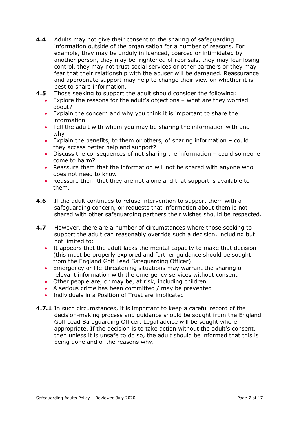- **4.4** Adults may not give their consent to the sharing of safeguarding information outside of the organisation for a number of reasons. For example, they may be unduly influenced, coerced or intimidated by another person, they may be frightened of reprisals, they may fear losing control, they may not trust social services or other partners or they may fear that their relationship with the abuser will be damaged. Reassurance and appropriate support may help to change their view on whether it is best to share information.
- **4.5** Those seeking to support the adult should consider the following:
	- Explore the reasons for the adult's objections what are they worried about?
	- Explain the concern and why you think it is important to share the information
	- Tell the adult with whom you may be sharing the information with and why
	- Explain the benefits, to them or others, of sharing information could they access better help and support?
	- Discuss the consequences of not sharing the information could someone come to harm?
	- Reassure them that the information will not be shared with anyone who does not need to know
	- Reassure them that they are not alone and that support is available to them.
- **4.6** If the adult continues to refuse intervention to support them with a safeguarding concern, or requests that information about them is not shared with other safeguarding partners their wishes should be respected.
- **4.7** However, there are a number of circumstances where those seeking to support the adult can reasonably override such a decision, including but not limited to:
	- It appears that the adult lacks the mental capacity to make that decision (this must be properly explored and further guidance should be sought from the England Golf Lead Safeguarding Officer)
	- Emergency or life-threatening situations may warrant the sharing of relevant information with the emergency services without consent
	- Other people are, or may be, at risk, including children
	- A serious crime has been committed / may be prevented
	- Individuals in a Position of Trust are implicated
- **4.7.1** In such circumstances, it is important to keep a careful record of the decision-making process and guidance should be sought from the England Golf Lead Safeguarding Officer. Legal advice will be sought where appropriate. If the decision is to take action without the adult's consent, then unless it is unsafe to do so, the adult should be informed that this is being done and of the reasons why.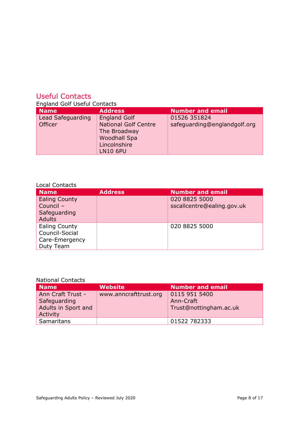## <span id="page-7-0"></span>Useful Contacts

England Golf Useful Contacts

| <b>Name</b>       | <b>Address</b>                                                                                        | <b>Number and email</b>      |
|-------------------|-------------------------------------------------------------------------------------------------------|------------------------------|
| Lead Safeguarding | <b>England Golf</b>                                                                                   | 01526 351824                 |
| <b>Officer</b>    | <b>National Golf Centre</b><br>The Broadway<br><b>Woodhall Spa</b><br>Lincolnshire<br><b>LN10 6PU</b> | safeguarding@englandgolf.org |

#### Local Contacts

| <b>Name</b>          | <b>Address</b> | <b>Number and email</b>    |
|----------------------|----------------|----------------------------|
| <b>Ealing County</b> |                | 020 8825 5000              |
| Council -            |                | sscallcentre@ealing.gov.uk |
| Safeguarding         |                |                            |
| <b>Adults</b>        |                |                            |
| <b>Ealing County</b> |                | 020 8825 5000              |
| Council-Social       |                |                            |
| Care-Emergency       |                |                            |
| Duty Team            |                |                            |

#### National Contacts

| <b>Name</b>         | <b>Website</b>        | <b>Number and email</b> |
|---------------------|-----------------------|-------------------------|
| Ann Craft Trust -   | www.anncrafttrust.org | 0115 951 5400           |
| Safeguarding        |                       | Ann-Craft               |
| Adults in Sport and |                       | Trust@nottingham.ac.uk  |
| Activity            |                       |                         |
| Samaritans          |                       | 01522 782333            |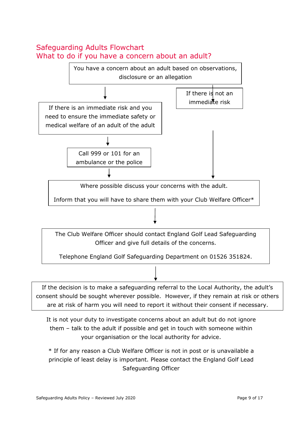## Safeguarding Adults Flowchart What to do if you have a concern about an adult?



\* If for any reason a Club Welfare Officer is not in post or is unavailable a principle of least delay is important. Please contact the England Golf Lead Safeguarding Officer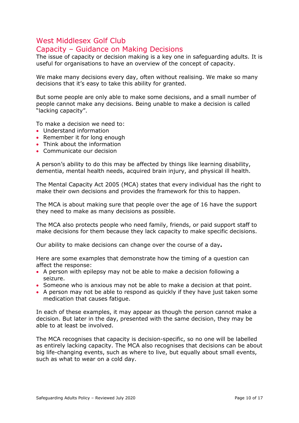## <span id="page-9-0"></span>West Middlesex Golf Club

## Capacity – Guidance on Making Decisions

The issue of capacity or decision making is a key one in safeguarding adults. It is useful for organisations to have an overview of the concept of capacity.

We make many decisions every day, often without realising. We make so many decisions that it's easy to take this ability for granted.

But some people are only able to make some decisions, and a small number of people cannot make any decisions. Being unable to make a decision is called "lacking capacity".

To make a decision we need to:

- Understand information
- Remember it for long enough
- Think about the information
- Communicate our decision

A person's ability to do this may be affected by things like learning disability, dementia, mental health needs, acquired brain injury, and physical ill health.

The Mental Capacity Act 2005 (MCA) states that every individual has the right to make their own decisions and provides the framework for this to happen.

The MCA is about making sure that people over the age of 16 have the support they need to make as many decisions as possible.

The MCA also protects people who need family, friends, or paid support staff to make decisions for them because they lack capacity to make specific decisions.

Our ability to make decisions can change over the course of a day**.**

Here are some examples that demonstrate how the timing of a question can affect the response:

- A person with epilepsy may not be able to make a decision following a seizure.
- Someone who is anxious may not be able to make a decision at that point.
- A person may not be able to respond as quickly if they have just taken some medication that causes fatigue.

In each of these examples, it may appear as though the person cannot make a decision. But later in the day, presented with the same decision, they may be able to at least be involved.

The MCA recognises that capacity is decision-specific, so no one will be labelled as entirely lacking capacity. The MCA also recognises that decisions can be about big life-changing events, such as where to live, but equally about small events, such as what to wear on a cold day.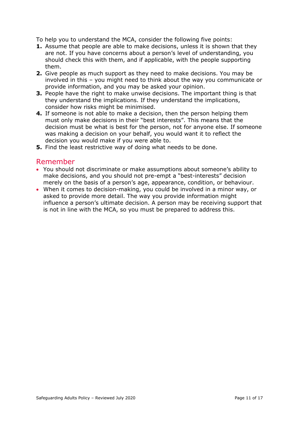To help you to understand the MCA, consider the following five points:

- **1.** Assume that people are able to make decisions, unless it is shown that they are not. If you have concerns about a person's level of understanding, you should check this with them, and if applicable, with the people supporting them.
- **2.** Give people as much support as they need to make decisions. You may be involved in this – you might need to think about the way you communicate or provide information, and you may be asked your opinion.
- **3.** People have the right to make unwise decisions. The important thing is that they understand the implications. If they understand the implications, consider how risks might be minimised.
- **4.** If someone is not able to make a decision, then the person helping them must only make decisions in their "best interests". This means that the decision must be what is best for the person, not for anyone else. If someone was making a decision on your behalf, you would want it to reflect the decision you would make if you were able to.
- **5.** Find the least restrictive way of doing what needs to be done.

### Remember

- You should not discriminate or make assumptions about someone's ability to make decisions, and you should not pre-empt a "best-interests" decision merely on the basis of a person's age, appearance, condition, or behaviour.
- When it comes to decision-making, you could be involved in a minor way, or asked to provide more detail. The way you provide information might influence a person's ultimate decision. A person may be receiving support that is not in line with the MCA, so you must be prepared to address this.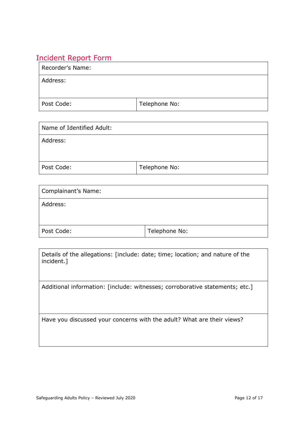## <span id="page-11-0"></span>Incident Report Form

| Recorder's Name: |               |
|------------------|---------------|
| Address:         |               |
|                  |               |
| Post Code:       | Telephone No: |

| Name of Identified Adult: |               |
|---------------------------|---------------|
| Address:                  |               |
|                           |               |
| Post Code:                | Telephone No: |

| Complainant's Name: |               |
|---------------------|---------------|
| Address:            |               |
|                     |               |
| Post Code:          | Telephone No: |

| Details of the allegations: [include: date; time; location; and nature of the<br>incident.] |
|---------------------------------------------------------------------------------------------|
| Additional information: [include: witnesses; corroborative statements; etc.]                |
| Have you discussed your concerns with the adult? What are their views?                      |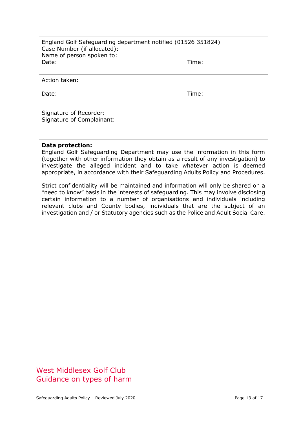England Golf Safeguarding department notified (01526 351824) Case Number (if allocated): Name of person spoken to: Date: Time: Time: The Solution of the Solution of the Solution of the Time: Time:

Action taken:

Date: Time: Time: Time: Time: Time: Time: Time: Time: Time: Time: Time: Time: Time: Time: Time: Time: Time: Time: Time: Time: Time: Time: Time: Time: Time: Time: Time: Time: Time: Time: Time: Time: Time: Time: Time: Time:

Signature of Recorder: Signature of Complainant:

#### **Data protection:**

England Golf Safeguarding Department may use the information in this form (together with other information they obtain as a result of any investigation) to investigate the alleged incident and to take whatever action is deemed appropriate, in accordance with their Safeguarding Adults Policy and Procedures.

Strict confidentiality will be maintained and information will only be shared on a "need to know" basis in the interests of safeguarding. This may involve disclosing certain information to a number of organisations and individuals including relevant clubs and County bodies, individuals that are the subject of an investigation and / or Statutory agencies such as the Police and Adult Social Care.

## <span id="page-12-0"></span>West Middlesex Golf Club Guidance on types of harm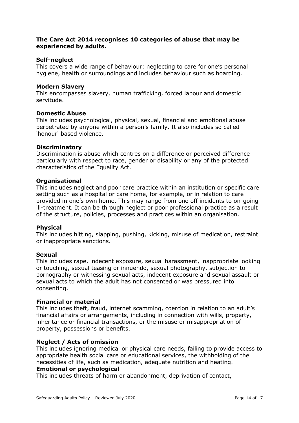#### **The Care Act 2014 recognises 10 categories of abuse that may be experienced by adults.**

#### **Self-neglect**

This covers a wide range of behaviour: neglecting to care for one's personal hygiene, health or surroundings and includes behaviour such as hoarding.

#### **Modern Slavery**

This encompasses slavery, human trafficking, forced labour and domestic servitude.

#### **Domestic Abuse**

This includes psychological, physical, sexual, financial and emotional abuse perpetrated by anyone within a person's family. It also includes so called 'honour' based violence.

#### **Discriminatory**

Discrimination is abuse which centres on a difference or perceived difference particularly with respect to race, gender or disability or any of the protected characteristics of the Equality Act.

#### **Organisational**

This includes neglect and poor care practice within an institution or specific care setting such as a hospital or care home, for example, or in relation to care provided in one's own home. This may range from one off incidents to on-going ill-treatment. It can be through neglect or poor professional practice as a result of the structure, policies, processes and practices within an organisation.

#### **Physical**

This includes hitting, slapping, pushing, kicking, misuse of medication, restraint or inappropriate sanctions.

#### **Sexual**

This includes rape, indecent exposure, sexual harassment, inappropriate looking or touching, sexual teasing or innuendo, sexual photography, subjection to pornography or witnessing sexual acts, indecent exposure and sexual assault or sexual acts to which the adult has not consented or was pressured into consenting.

#### **Financial or material**

This includes theft, fraud, internet scamming, coercion in relation to an adult's financial affairs or arrangements, including in connection with wills, property, inheritance or financial transactions, or the misuse or misappropriation of property, possessions or benefits.

#### **Neglect / Acts of omission**

This includes ignoring medical or physical care needs, failing to provide access to appropriate health social care or educational services, the withholding of the necessities of life, such as medication, adequate nutrition and heating.

#### **Emotional or psychological**

This includes threats of harm or abandonment, deprivation of contact,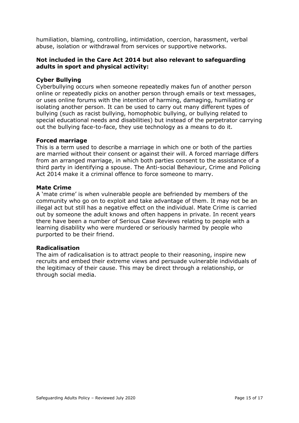humiliation, blaming, controlling, intimidation, coercion, harassment, verbal abuse, isolation or withdrawal from services or supportive networks.

#### **Not included in the Care Act 2014 but also relevant to safeguarding adults in sport and physical activity:**

#### **Cyber Bullying**

Cyberbullying occurs when someone repeatedly makes fun of another person online or repeatedly picks on another person through emails or text messages, or uses online forums with the intention of harming, damaging, humiliating or isolating another person. It can be used to carry out many different types of bullying (such as racist bullying, homophobic bullying, or bullying related to special educational needs and disabilities) but instead of the perpetrator carrying out the bullying face-to-face, they use technology as a means to do it.

#### **Forced marriage**

This is a term used to describe a marriage in which one or both of the parties are married without their consent or against their will. A forced marriage differs from an arranged marriage, in which both parties consent to the assistance of a third party in identifying a spouse. The Anti-social Behaviour, Crime and Policing Act 2014 make it a criminal offence to force someone to marry.

#### **Mate Crime**

A 'mate crime' is when vulnerable people are befriended by members of the community who go on to exploit and take advantage of them. It may not be an illegal act but still has a negative effect on the individual. Mate Crime is carried out by someone the adult knows and often happens in private. In recent years there have been a number of Serious Case Reviews relating to people with a learning disability who were murdered or seriously harmed by people who purported to be their friend.

#### **Radicalisation**

The aim of radicalisation is to attract people to their reasoning, inspire new recruits and embed their extreme views and persuade vulnerable individuals of the legitimacy of their cause. This may be direct through a relationship, or through social media.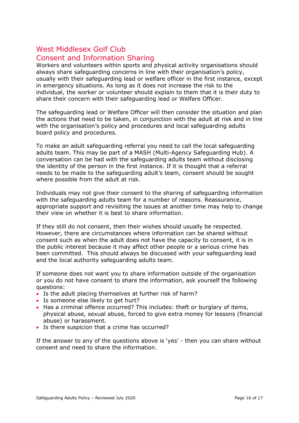## <span id="page-15-0"></span>West Middlesex Golf Club Consent and Information Sharing

Workers and volunteers within sports and physical activity organisations should always share safeguarding concerns in line with their organisation's policy, usually with their safeguarding lead or welfare officer in the first instance, except in emergency situations. As long as it does not increase the risk to the individual, the worker or volunteer should explain to them that it is their duty to share their concern with their safeguarding lead or Welfare Officer.

The safeguarding lead or Welfare Officer will then consider the situation and plan the actions that need to be taken, in conjunction with the adult at risk and in line with the organisation's policy and procedures and local safeguarding adults board policy and procedures.

To make an adult safeguarding referral you need to call the local safeguarding adults team. This may be part of a MASH (Multi*-*Agency Safeguarding Hub). A conversation can be had with the safeguarding adults team without disclosing the identity of the person in the first instance. If it is thought that a referral needs to be made to the safeguarding adult's team, consent should be sought where possible from the adult at risk.

Individuals may not give their consent to the sharing of safeguarding information with the safeguarding adults team for a number of reasons. Reassurance, appropriate support and revisiting the issues at another time may help to change their view on whether it is best to share information.

If they still do not consent, then their wishes should usually be respected. However, there are circumstances where information can be shared without consent such as when the adult does not have the capacity to consent, it is in the public interest because it may affect other people or a serious crime has been committed. This should always be discussed with your safeguarding lead and the local authority safeguarding adults team.

If someone does not want you to share information outside of the organisation or you do not have consent to share the information, ask yourself the following questions:

- Is the adult placing themselves at further risk of harm?
- Is someone else likely to get hurt?
- Has a criminal offence occurred? This includes: theft or burglary of items, physical abuse, sexual abuse, forced to give extra money for lessons (financial abuse) or harassment.
- Is there suspicion that a crime has occurred?

If the answer to any of the questions above is 'yes' - then you can share without consent and need to share the information.